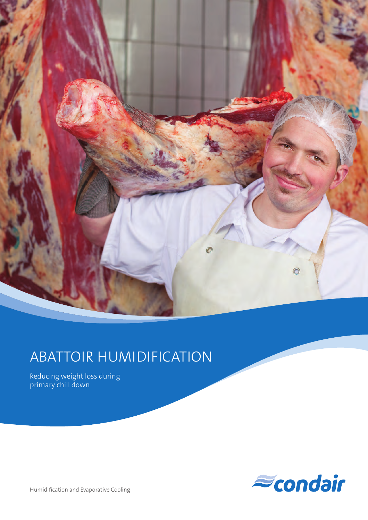

# ABATTOIR HUMIDIFICATION

Reducing weight loss during primary chill down



Humidification and Evaporative Cooling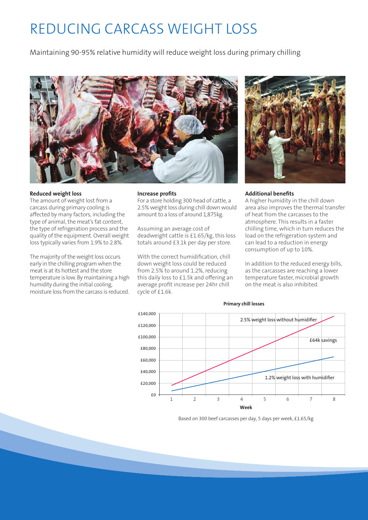# REDUCING CARCASS WEIGHT LOSS

Maintaining 90-95% relative humidity will reduce weight loss during primary chilling



#### **Reduced weight loss**

The amount of weight lost from a carcass during primary cooling is affected by many factors, including the type of animal, the meat's fat content, the type of refrigeration process and the quality of the equipment. Overall weight loss typically varies from 1.9% to 2.8%.

The majority of the weight loss occurs early in the chilling program when the meat is at its hottest and the store temperature is low. By maintaining a high humidity during the initial cooling, moisture loss from the carcass is reduced.

#### **Increase profits**

For a store holding 300 head of cattle, a 2.5% weight loss during chill down would amount to a loss of around 1,875kg.

Assuming an average cost of deadweight cattle is £1.65/kg, this loss totals around £3.1k per day per store.

With the correct humidification, chill down weight loss could be reduced from 2.5% to around 1.2%, reducing this daily loss to £1.5k and offering an average profit increase per 24hr chill cycle of £1.6k.



#### **Additional benefits**

A higher humidity in the chill down area also improves the thermal transfer of heat from the carcasses to the atmosphere. This results in a faster chilling time, which in turn reduces the load on the refrigeration system and can lead to a reduction in energy consumption of up to 10%.

In addition to the reduced energy bills, as the carcasses are reaching a lower temperature faster, microbial growth on the meat is also inhibited.



#### **Primary chill losses**

Based on 300 beef carcasses per day, 5 days per week, £1.65/kg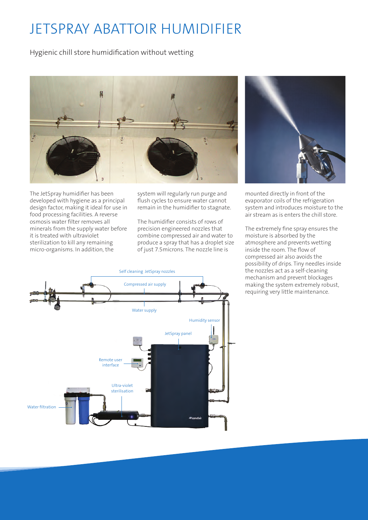### JETSPRAY ABATTOIR HUMIDIFIER

Hygienic chill store humidification without wetting



The JetSpray humidifier has been developed with hygiene as a principal design factor, making it ideal for use in food processing facilities. A reverse osmosis water filter removes all minerals from the supply water before it is treated with ultraviolet sterilization to kill any remaining micro-organisms. In addition, the

system will regularly run purge and flush cycles to ensure water cannot remain in the humidifier to stagnate.

The humidifier consists of rows of precision engineered nozzles that combine compressed air and water to produce a spray that has a droplet size of just 7.5microns. The nozzle line is



mounted directly in front of the evaporator coils of the refrigeration system and introduces moisture to the air stream as is enters the chill store.

The extremely fine spray ensures the moisture is absorbed by the atmosphere and prevents wetting inside the room. The flow of compressed air also avoids the possibility of drips. Tiny needles inside the nozzles act as a self-cleaning mechanism and prevent blockages making the system extremely robust, requiring very little maintenance.